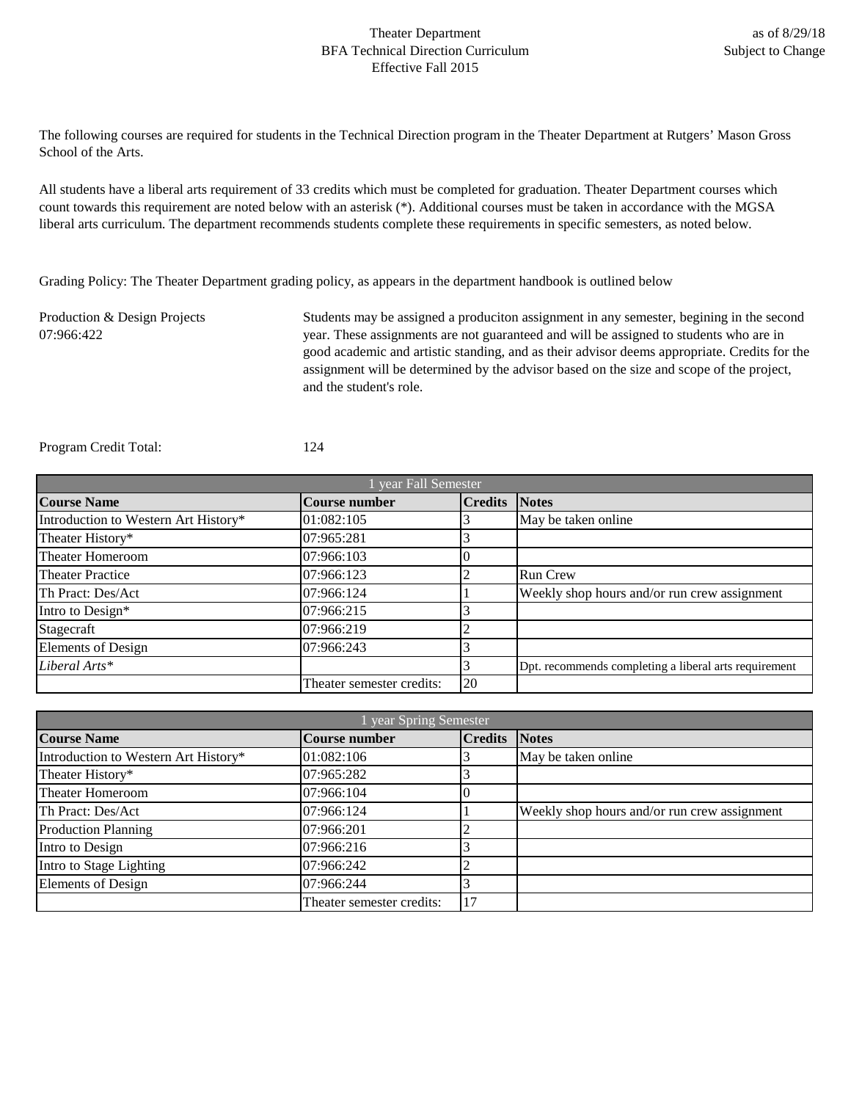## Theater Department BFA Technical Direction Curriculum Effective Fall 2015

The following courses are required for students in the Technical Direction program in the Theater Department at Rutgers' Mason Gross School of the Arts.

All students have a liberal arts requirement of 33 credits which must be completed for graduation. Theater Department courses which count towards this requirement are noted below with an asterisk (\*). Additional courses must be taken in accordance with the MGSA liberal arts curriculum. The department recommends students complete these requirements in specific semesters, as noted below.

Grading Policy: The Theater Department grading policy, as appears in the department handbook is outlined below

Production & Design Projects 07:966:422 Students may be assigned a produciton assignment in any semester, begining in the second year. These assignments are not guaranteed and will be assigned to students who are in good academic and artistic standing, and as their advisor deems appropriate. Credits for the assignment will be determined by the advisor based on the size and scope of the project, and the student's role.

Program Credit Total: 124

| year Fall Semester                   |                           |                |                                                       |
|--------------------------------------|---------------------------|----------------|-------------------------------------------------------|
| <b>Course Name</b>                   | <b>Course number</b>      | <b>Credits</b> | <b>Notes</b>                                          |
| Introduction to Western Art History* | 01:082:105                |                | May be taken online                                   |
| Theater History*                     | 07:965:281                |                |                                                       |
| Theater Homeroom                     | 07:966:103                |                |                                                       |
| <b>Theater Practice</b>              | 07:966:123                |                | <b>Run Crew</b>                                       |
| Th Pract: Des/Act                    | 07:966:124                |                | Weekly shop hours and/or run crew assignment          |
| Intro to Design*                     | 07:966:215                |                |                                                       |
| Stagecraft                           | 07:966:219                |                |                                                       |
| <b>Elements of Design</b>            | 07:966:243                |                |                                                       |
| Liberal Arts*                        |                           |                | Dpt. recommends completing a liberal arts requirement |
|                                      | Theater semester credits: | 20             |                                                       |

| year Spring Semester                 |                           |                |                                              |
|--------------------------------------|---------------------------|----------------|----------------------------------------------|
| <b>Course Name</b>                   | <b>Course number</b>      | <b>Credits</b> | <b>Notes</b>                                 |
| Introduction to Western Art History* | 01:082:106                |                | May be taken online                          |
| Theater History*                     | 07:965:282                |                |                                              |
| Theater Homeroom                     | 07:966:104                |                |                                              |
| Th Pract: Des/Act                    | 07:966:124                |                | Weekly shop hours and/or run crew assignment |
| <b>Production Planning</b>           | 07:966:201                |                |                                              |
| Intro to Design                      | 07:966:216                |                |                                              |
| Intro to Stage Lighting              | 07:966:242                |                |                                              |
| <b>Elements of Design</b>            | 07:966:244                |                |                                              |
|                                      | Theater semester credits: | 17             |                                              |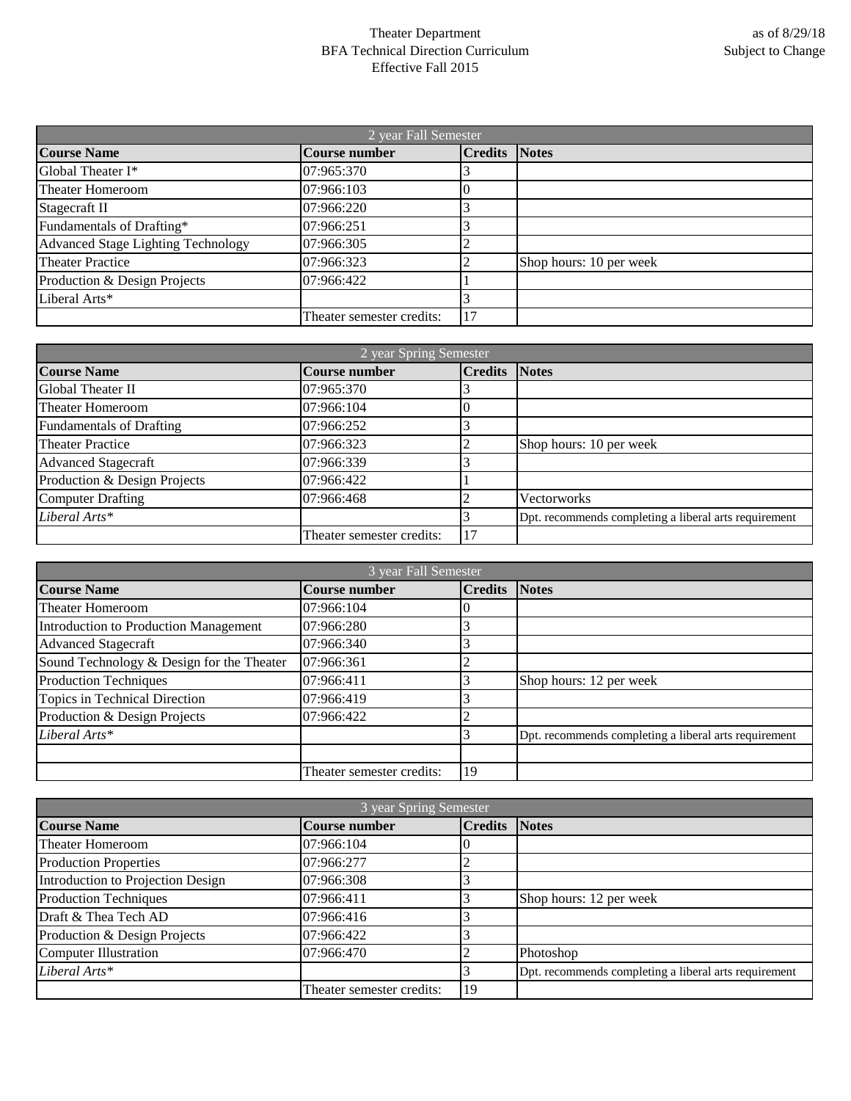## Theater Department BFA Technical Direction Curriculum Effective Fall 2015

| 2 year Fall Semester               |                           |                      |                         |
|------------------------------------|---------------------------|----------------------|-------------------------|
| <b>Course Name</b>                 | Course number             | <b>Credits Notes</b> |                         |
| Global Theater I*                  | 07:965:370                |                      |                         |
| Theater Homeroom                   | 07:966:103                |                      |                         |
| Stagecraft II                      | 07:966:220                |                      |                         |
| Fundamentals of Drafting*          | 07:966:251                |                      |                         |
| Advanced Stage Lighting Technology | 07:966:305                |                      |                         |
| <b>Theater Practice</b>            | 07:966:323                |                      | Shop hours: 10 per week |
| Production & Design Projects       | 07:966:422                |                      |                         |
| Liberal Arts*                      |                           |                      |                         |
|                                    | Theater semester credits: | 17                   |                         |

| 2 year Spring Semester          |                           |                |                                                       |
|---------------------------------|---------------------------|----------------|-------------------------------------------------------|
| <b>Course Name</b>              | <b>Course number</b>      | <b>Credits</b> | <b>Notes</b>                                          |
| <b>Global Theater II</b>        | 07:965:370                |                |                                                       |
| <b>Theater Homeroom</b>         | 07:966:104                |                |                                                       |
| <b>Fundamentals of Drafting</b> | 07:966:252                |                |                                                       |
| <b>Theater Practice</b>         | 07:966:323                |                | Shop hours: 10 per week                               |
| <b>Advanced Stagecraft</b>      | 07:966:339                |                |                                                       |
| Production & Design Projects    | 07:966:422                |                |                                                       |
| <b>Computer Drafting</b>        | 07:966:468                |                | Vectorworks                                           |
| Liberal Arts*                   |                           |                | Dpt. recommends completing a liberal arts requirement |
|                                 | Theater semester credits: |                |                                                       |

| 3 year Fall Semester                      |                           |                |                                                       |
|-------------------------------------------|---------------------------|----------------|-------------------------------------------------------|
| <b>Course Name</b>                        | Course number             | <b>Credits</b> | <b>Notes</b>                                          |
| <b>Theater Homeroom</b>                   | 07:966:104                |                |                                                       |
| Introduction to Production Management     | 07:966:280                |                |                                                       |
| <b>Advanced Stagecraft</b>                | 07:966:340                |                |                                                       |
| Sound Technology & Design for the Theater | 07:966:361                |                |                                                       |
| <b>Production Techniques</b>              | 07:966:411                |                | Shop hours: 12 per week                               |
| Topics in Technical Direction             | 07:966:419                |                |                                                       |
| Production & Design Projects              | 07:966:422                |                |                                                       |
| Liberal Arts*                             |                           |                | Dpt. recommends completing a liberal arts requirement |
|                                           |                           |                |                                                       |
|                                           | Theater semester credits: | 19             |                                                       |

| 3 year Spring Semester            |                           |                      |                                                       |
|-----------------------------------|---------------------------|----------------------|-------------------------------------------------------|
| <b>Course Name</b>                | <b>Course number</b>      | <b>Credits Notes</b> |                                                       |
| <b>Theater Homeroom</b>           | 07:966:104                |                      |                                                       |
| <b>Production Properties</b>      | 07:966:277                |                      |                                                       |
| Introduction to Projection Design | 07:966:308                |                      |                                                       |
| <b>Production Techniques</b>      | 07:966:411                |                      | Shop hours: 12 per week                               |
| Draft & Thea Tech AD              | 07:966:416                |                      |                                                       |
| Production & Design Projects      | 07:966:422                |                      |                                                       |
| <b>Computer Illustration</b>      | 07:966:470                |                      | Photoshop                                             |
| Liberal Arts*                     |                           |                      | Dpt. recommends completing a liberal arts requirement |
|                                   | Theater semester credits: | 19                   |                                                       |